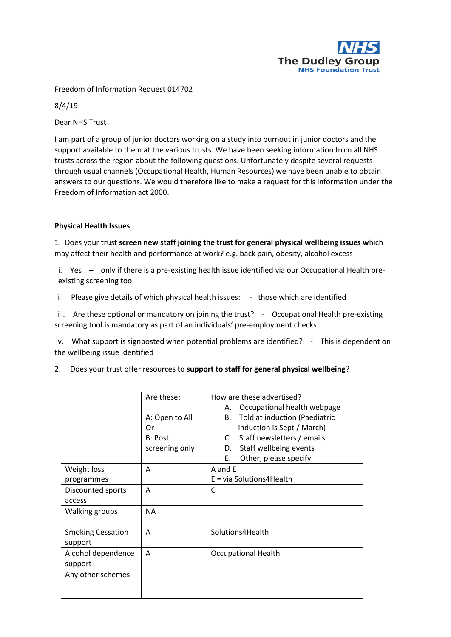

Freedom of Information Request 014702

8/4/19

Dear NHS Trust

I am part of a group of junior doctors working on a study into burnout in junior doctors and the support available to them at the various trusts. We have been seeking information from all NHS trusts across the region about the following questions. Unfortunately despite several requests through usual channels (Occupational Health, Human Resources) we have been unable to obtain answers to our questions. We would therefore like to make a request for this information under the Freedom of Information act 2000.

## **Physical Health Issues**

1. Does your trust **screen new staff joining the trust for general physical wellbeing issues w**hich may affect their health and performance at work? e.g. back pain, obesity, alcohol excess

i. Yes – only if there is a pre-existing health issue identified via our Occupational Health preexisting screening tool

ii. Please give details of which physical health issues: - those which are identified

iii. Are these optional or mandatory on joining the trust? - Occupational Health pre-existing screening tool is mandatory as part of an individuals' pre-employment checks

iv. What support is signposted when potential problems are identified? - This is dependent on the wellbeing issue identified

| Does your trust offer resources to support to staff for general physical wellbeing? |  |  |
|-------------------------------------------------------------------------------------|--|--|
|                                                                                     |  |  |

|                          | Are these:     | How are these advertised?           |  |
|--------------------------|----------------|-------------------------------------|--|
|                          |                | Occupational health webpage<br>А.   |  |
|                          | A: Open to All | Told at induction (Paediatric<br>В. |  |
|                          | Or             | induction is Sept / March)          |  |
|                          | B: Post        | Staff newsletters / emails<br>C.    |  |
|                          | screening only | Staff wellbeing events<br>D.        |  |
|                          |                | Other, please specify<br>Е.         |  |
| Weight loss              | A              | A and E                             |  |
| programmes               |                | $E = via Solution 4Health$          |  |
| Discounted sports        | A              | C                                   |  |
| access                   |                |                                     |  |
| <b>Walking groups</b>    | <b>NA</b>      |                                     |  |
|                          |                |                                     |  |
| <b>Smoking Cessation</b> | A              | Solutions4Health                    |  |
| support                  |                |                                     |  |
| Alcohol dependence       | A              | <b>Occupational Health</b>          |  |
| support                  |                |                                     |  |
| Any other schemes        |                |                                     |  |
|                          |                |                                     |  |
|                          |                |                                     |  |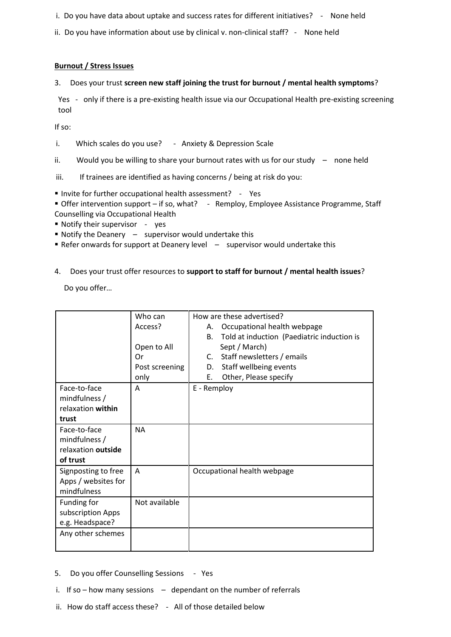- i. Do you have data about uptake and success rates for different initiatives? None held
- ii. Do you have information about use by clinical v. non-clinical staff? None held

## **Burnout / Stress Issues**

3. Does your trust **screen new staff joining the trust for burnout / mental health symptoms**?

Yes - only if there is a pre-existing health issue via our Occupational Health pre-existing screening tool

If so:

i. Which scales do you use? - Anxiety & Depression Scale

ii. Would you be willing to share your burnout rates with us for our study – none held

iii. If trainees are identified as having concerns / being at risk do you:

■ Invite for further occupational health assessment? - Yes

 Offer intervention support – if so, what? - Remploy, Employee Assistance Programme, Staff Counselling via Occupational Health

- Notify their supervisor yes
- $\blacksquare$  Notify the Deanery  $\blacksquare$  supervisor would undertake this
- Refer onwards for support at Deanery level supervisor would undertake this
- 4. Does your trust offer resources to **support to staff for burnout / mental health issues**?

Do you offer…

|                     | Who can          | How are these advertised?   |                                            |
|---------------------|------------------|-----------------------------|--------------------------------------------|
|                     | Access?          | А.                          | Occupational health webpage                |
|                     |                  | В.                          | Told at induction (Paediatric induction is |
|                     | Open to All      |                             | Sept / March)                              |
|                     | Or               |                             | C. Staff newsletters / emails              |
|                     | Post screening   | D.                          | Staff wellbeing events                     |
|                     | only             | Ε.                          | Other, Please specify                      |
| Face-to-face        | E - Remploy<br>A |                             |                                            |
| mindfulness /       |                  |                             |                                            |
| relaxation within   |                  |                             |                                            |
| trust               |                  |                             |                                            |
| Face-to-face        | <b>NA</b>        |                             |                                            |
| mindfulness /       |                  |                             |                                            |
| relaxation outside  |                  |                             |                                            |
| of trust            |                  |                             |                                            |
| Signposting to free | A                | Occupational health webpage |                                            |
| Apps / websites for |                  |                             |                                            |
| mindfulness         |                  |                             |                                            |
| Funding for         | Not available    |                             |                                            |
| subscription Apps   |                  |                             |                                            |
| e.g. Headspace?     |                  |                             |                                            |
| Any other schemes   |                  |                             |                                            |
|                     |                  |                             |                                            |

- 5. Do you offer Counselling Sessions Yes
- i. If so  $-$  how many sessions  $-$  dependant on the number of referrals
- ii. How do staff access these? All of those detailed below